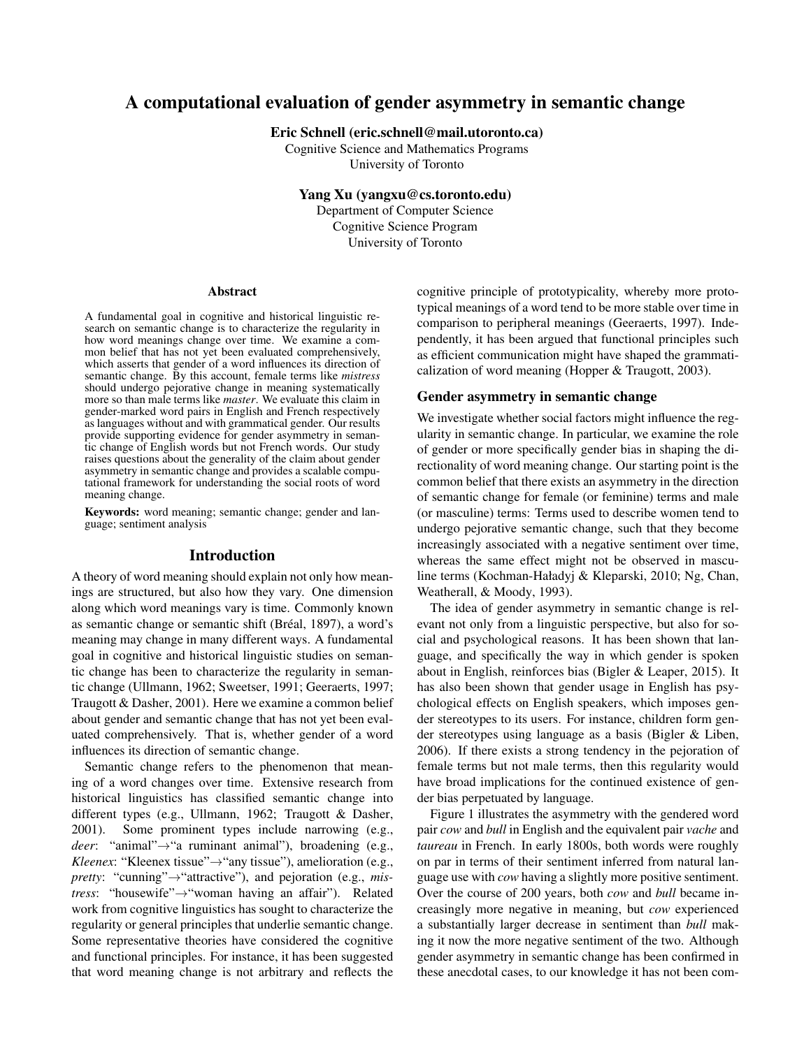# A computational evaluation of gender asymmetry in semantic change

Eric Schnell (eric.schnell@mail.utoronto.ca)

Cognitive Science and Mathematics Programs University of Toronto

Yang Xu (yangxu@cs.toronto.edu)

Department of Computer Science Cognitive Science Program University of Toronto

#### Abstract

A fundamental goal in cognitive and historical linguistic research on semantic change is to characterize the regularity in how word meanings change over time. We examine a common belief that has not yet been evaluated comprehensively, which asserts that gender of a word influences its direction of semantic change. By this account, female terms like *mistress* should undergo pejorative change in meaning systematically more so than male terms like *master*. We evaluate this claim in gender-marked word pairs in English and French respectively as languages without and with grammatical gender. Our results provide supporting evidence for gender asymmetry in semantic change of English words but not French words. Our study raises questions about the generality of the claim about gender asymmetry in semantic change and provides a scalable computational framework for understanding the social roots of word meaning change.

Keywords: word meaning; semantic change; gender and language; sentiment analysis

## Introduction

A theory of word meaning should explain not only how meanings are structured, but also how they vary. One dimension along which word meanings vary is time. Commonly known as semantic change or semantic shift (Bréal, 1897), a word's meaning may change in many different ways. A fundamental goal in cognitive and historical linguistic studies on semantic change has been to characterize the regularity in semantic change (Ullmann, 1962; Sweetser, 1991; Geeraerts, 1997; Traugott & Dasher, 2001). Here we examine a common belief about gender and semantic change that has not yet been evaluated comprehensively. That is, whether gender of a word influences its direction of semantic change.

Semantic change refers to the phenomenon that meaning of a word changes over time. Extensive research from historical linguistics has classified semantic change into different types (e.g., Ullmann, 1962; Traugott & Dasher, 2001). Some prominent types include narrowing (e.g., *deer*: "animal"→"a ruminant animal"), broadening (e.g., *Kleenex*: "Kleenex tissue"→"any tissue"), amelioration (e.g., *pretty*: "cunning"→"attractive"), and pejoration (e.g., *mistress*: "housewife"→"woman having an affair"). Related work from cognitive linguistics has sought to characterize the regularity or general principles that underlie semantic change. Some representative theories have considered the cognitive and functional principles. For instance, it has been suggested that word meaning change is not arbitrary and reflects the cognitive principle of prototypicality, whereby more prototypical meanings of a word tend to be more stable over time in comparison to peripheral meanings (Geeraerts, 1997). Independently, it has been argued that functional principles such as efficient communication might have shaped the grammaticalization of word meaning (Hopper & Traugott, 2003).

#### Gender asymmetry in semantic change

We investigate whether social factors might influence the regularity in semantic change. In particular, we examine the role of gender or more specifically gender bias in shaping the directionality of word meaning change. Our starting point is the common belief that there exists an asymmetry in the direction of semantic change for female (or feminine) terms and male (or masculine) terms: Terms used to describe women tend to undergo pejorative semantic change, such that they become increasingly associated with a negative sentiment over time, whereas the same effect might not be observed in masculine terms (Kochman-Haładyj & Kleparski, 2010; Ng, Chan, Weatherall, & Moody, 1993).

The idea of gender asymmetry in semantic change is relevant not only from a linguistic perspective, but also for social and psychological reasons. It has been shown that language, and specifically the way in which gender is spoken about in English, reinforces bias (Bigler & Leaper, 2015). It has also been shown that gender usage in English has psychological effects on English speakers, which imposes gender stereotypes to its users. For instance, children form gender stereotypes using language as a basis (Bigler & Liben, 2006). If there exists a strong tendency in the pejoration of female terms but not male terms, then this regularity would have broad implications for the continued existence of gender bias perpetuated by language.

Figure 1 illustrates the asymmetry with the gendered word pair *cow* and *bull* in English and the equivalent pair *vache* and *taureau* in French. In early 1800s, both words were roughly on par in terms of their sentiment inferred from natural language use with *cow* having a slightly more positive sentiment. Over the course of 200 years, both *cow* and *bull* became increasingly more negative in meaning, but *cow* experienced a substantially larger decrease in sentiment than *bull* making it now the more negative sentiment of the two. Although gender asymmetry in semantic change has been confirmed in these anecdotal cases, to our knowledge it has not been com-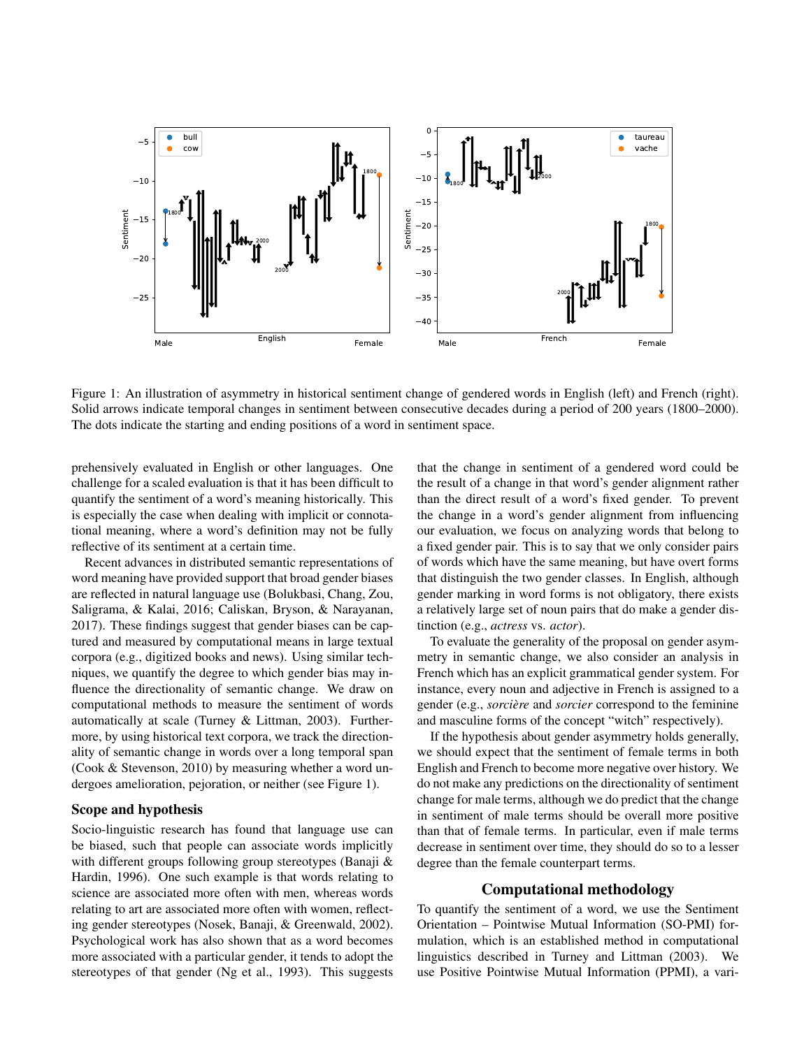

Figure 1: An illustration of asymmetry in historical sentiment change of gendered words in English (left) and French (right). Solid arrows indicate temporal changes in sentiment between consecutive decades during a period of 200 years (1800–2000). The dots indicate the starting and ending positions of a word in sentiment space.

prehensively evaluated in English or other languages. One challenge for a scaled evaluation is that it has been difficult to quantify the sentiment of a word's meaning historically. This is especially the case when dealing with implicit or connotational meaning, where a word's definition may not be fully reflective of its sentiment at a certain time.

Recent advances in distributed semantic representations of word meaning have provided support that broad gender biases are reflected in natural language use (Bolukbasi, Chang, Zou, Saligrama, & Kalai, 2016; Caliskan, Bryson, & Narayanan, 2017). These findings suggest that gender biases can be captured and measured by computational means in large textual corpora (e.g., digitized books and news). Using similar techniques, we quantify the degree to which gender bias may influence the directionality of semantic change. We draw on computational methods to measure the sentiment of words automatically at scale (Turney & Littman, 2003). Furthermore, by using historical text corpora, we track the directionality of semantic change in words over a long temporal span (Cook & Stevenson, 2010) by measuring whether a word undergoes amelioration, pejoration, or neither (see Figure 1).

#### Scope and hypothesis

Socio-linguistic research has found that language use can be biased, such that people can associate words implicitly with different groups following group stereotypes (Banaji & Hardin, 1996). One such example is that words relating to science are associated more often with men, whereas words relating to art are associated more often with women, reflecting gender stereotypes (Nosek, Banaji, & Greenwald, 2002). Psychological work has also shown that as a word becomes more associated with a particular gender, it tends to adopt the stereotypes of that gender (Ng et al., 1993). This suggests that the change in sentiment of a gendered word could be the result of a change in that word's gender alignment rather than the direct result of a word's fixed gender. To prevent the change in a word's gender alignment from influencing our evaluation, we focus on analyzing words that belong to a fixed gender pair. This is to say that we only consider pairs of words which have the same meaning, but have overt forms that distinguish the two gender classes. In English, although gender marking in word forms is not obligatory, there exists a relatively large set of noun pairs that do make a gender distinction (e.g., *actress* vs. *actor*).

To evaluate the generality of the proposal on gender asymmetry in semantic change, we also consider an analysis in French which has an explicit grammatical gender system. For instance, every noun and adjective in French is assigned to a gender (e.g., *sorciere `* and *sorcier* correspond to the feminine and masculine forms of the concept "witch" respectively).

If the hypothesis about gender asymmetry holds generally, we should expect that the sentiment of female terms in both English and French to become more negative over history. We do not make any predictions on the directionality of sentiment change for male terms, although we do predict that the change in sentiment of male terms should be overall more positive than that of female terms. In particular, even if male terms decrease in sentiment over time, they should do so to a lesser degree than the female counterpart terms.

#### Computational methodology

To quantify the sentiment of a word, we use the Sentiment Orientation – Pointwise Mutual Information (SO-PMI) formulation, which is an established method in computational linguistics described in Turney and Littman (2003). We use Positive Pointwise Mutual Information (PPMI), a vari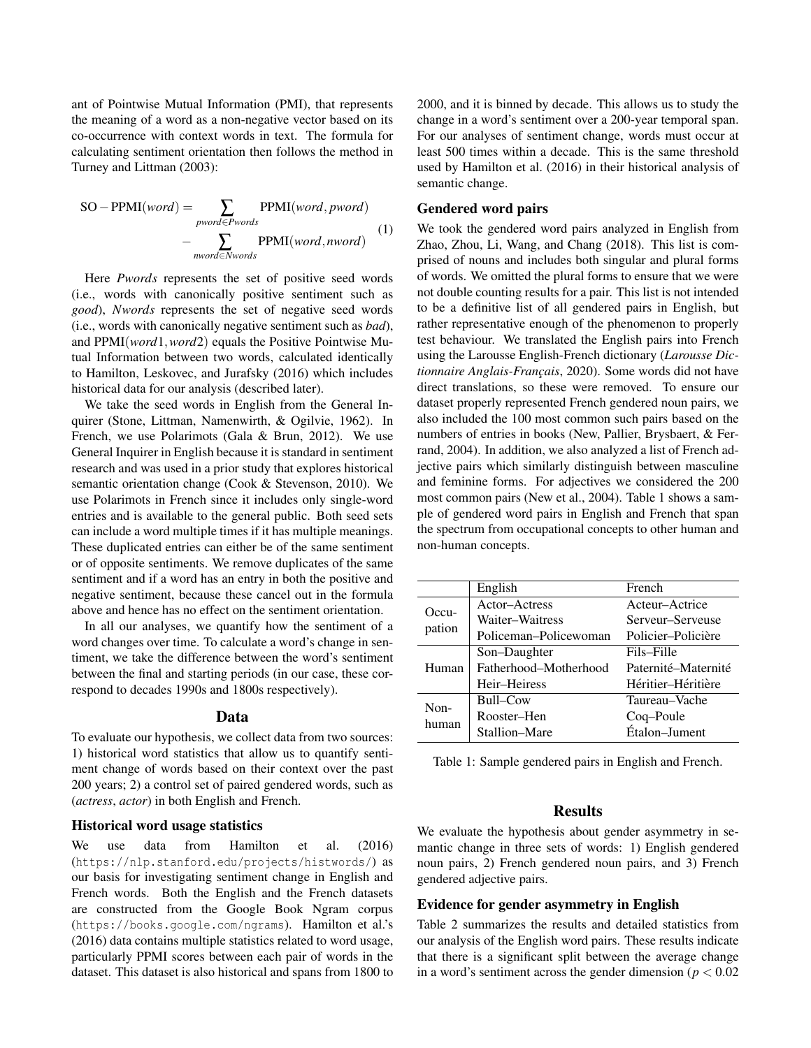ant of Pointwise Mutual Information (PMI), that represents the meaning of a word as a non-negative vector based on its co-occurrence with context words in text. The formula for calculating sentiment orientation then follows the method in Turney and Littman (2003):

$$
SO - PPMI(word) = \sum_{pword \in Pwords} PPMI(word, pword)
$$

$$
- \sum_{nword \in Nwords} PPMI(word, nword)
$$
(1)

Here *Pwords* represents the set of positive seed words (i.e., words with canonically positive sentiment such as *good*), *Nwords* represents the set of negative seed words (i.e., words with canonically negative sentiment such as *bad*), and PPMI(*word*1,*word*2) equals the Positive Pointwise Mutual Information between two words, calculated identically to Hamilton, Leskovec, and Jurafsky (2016) which includes historical data for our analysis (described later).

We take the seed words in English from the General Inquirer (Stone, Littman, Namenwirth, & Ogilvie, 1962). In French, we use Polarimots (Gala & Brun, 2012). We use General Inquirer in English because it is standard in sentiment research and was used in a prior study that explores historical semantic orientation change (Cook & Stevenson, 2010). We use Polarimots in French since it includes only single-word entries and is available to the general public. Both seed sets can include a word multiple times if it has multiple meanings. These duplicated entries can either be of the same sentiment or of opposite sentiments. We remove duplicates of the same sentiment and if a word has an entry in both the positive and negative sentiment, because these cancel out in the formula above and hence has no effect on the sentiment orientation.

In all our analyses, we quantify how the sentiment of a word changes over time. To calculate a word's change in sentiment, we take the difference between the word's sentiment between the final and starting periods (in our case, these correspond to decades 1990s and 1800s respectively).

#### Data

To evaluate our hypothesis, we collect data from two sources: 1) historical word statistics that allow us to quantify sentiment change of words based on their context over the past 200 years; 2) a control set of paired gendered words, such as (*actress*, *actor*) in both English and French.

#### Historical word usage statistics

We use data from Hamilton et al. (2016) (https://nlp.stanford.edu/projects/histwords/) as our basis for investigating sentiment change in English and French words. Both the English and the French datasets are constructed from the Google Book Ngram corpus (https://books.google.com/ngrams). Hamilton et al.'s (2016) data contains multiple statistics related to word usage, particularly PPMI scores between each pair of words in the dataset. This dataset is also historical and spans from 1800 to 2000, and it is binned by decade. This allows us to study the change in a word's sentiment over a 200-year temporal span. For our analyses of sentiment change, words must occur at least 500 times within a decade. This is the same threshold used by Hamilton et al. (2016) in their historical analysis of semantic change.

#### Gendered word pairs

We took the gendered word pairs analyzed in English from Zhao, Zhou, Li, Wang, and Chang (2018). This list is comprised of nouns and includes both singular and plural forms of words. We omitted the plural forms to ensure that we were not double counting results for a pair. This list is not intended to be a definitive list of all gendered pairs in English, but rather representative enough of the phenomenon to properly test behaviour. We translated the English pairs into French using the Larousse English-French dictionary (*Larousse Dic*tionnaire Anglais-Français, 2020). Some words did not have direct translations, so these were removed. To ensure our dataset properly represented French gendered noun pairs, we also included the 100 most common such pairs based on the numbers of entries in books (New, Pallier, Brysbaert, & Ferrand, 2004). In addition, we also analyzed a list of French adjective pairs which similarly distinguish between masculine and feminine forms. For adjectives we considered the 200 most common pairs (New et al., 2004). Table 1 shows a sample of gendered word pairs in English and French that span the spectrum from occupational concepts to other human and non-human concepts.

|         | English               | French              |
|---------|-----------------------|---------------------|
| $Occu-$ | Actor-Actress         | Acteur-Actrice      |
|         | Waiter-Waitress       | Serveur–Serveuse    |
| pation  | Policeman–Policewoman | Policier–Policière  |
|         | Son-Daughter          | Fils-Fille          |
| Human   | Fatherhood-Motherhood | Paternité–Maternité |
|         | Heir-Heiress          | Héritier-Héritière  |
| Non-    | Bull–Cow              | Taureau–Vache       |
| human   | Rooster–Hen           | Coq-Poule           |
|         | Stallion–Mare         | Étalon-Jument       |

Table 1: Sample gendered pairs in English and French.

#### Results

We evaluate the hypothesis about gender asymmetry in semantic change in three sets of words: 1) English gendered noun pairs, 2) French gendered noun pairs, and 3) French gendered adjective pairs.

#### Evidence for gender asymmetry in English

Table 2 summarizes the results and detailed statistics from our analysis of the English word pairs. These results indicate that there is a significant split between the average change in a word's sentiment across the gender dimension ( $p < 0.02$ )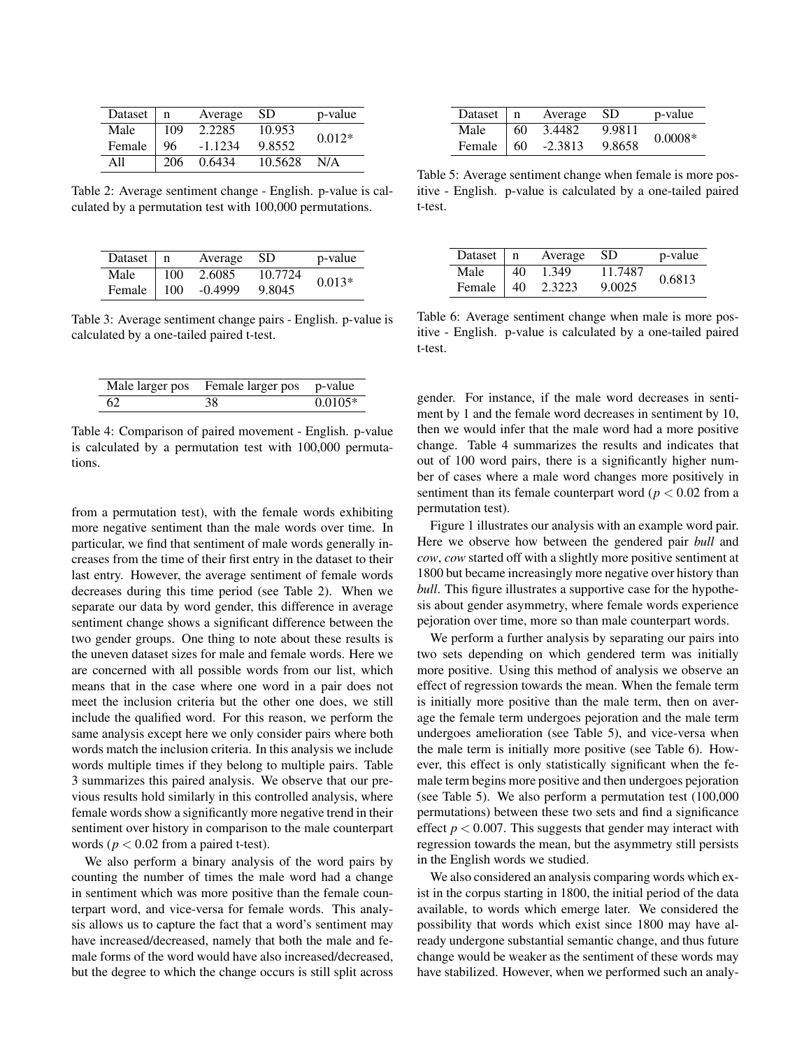| Dataset | n   | Average   | SD.     | p-value  |
|---------|-----|-----------|---------|----------|
| Male    | 109 | 2.2285    | 10.953  | $0.012*$ |
| Female  | 96  | $-1.1234$ | 9.8552  |          |
| A11     | 206 | 0.6434    | 10.5628 | N/A      |

Table 2: Average sentiment change - English. p-value is calculated by a permutation test with 100,000 permutations.

| Dataset $\ $ n     |     | Average | -SD     | p-value  |
|--------------------|-----|---------|---------|----------|
| Male               | 100 | 2.6085  | 10.7724 | $0.013*$ |
| Female $\vert$ 100 |     | -0.4999 | 9.8045  |          |

Table 3: Average sentiment change pairs - English. p-value is calculated by a one-tailed paired t-test.

| Male larger pos | Female larger pos p-value |           |
|-----------------|---------------------------|-----------|
| 62              | 38                        | $0.0105*$ |

Table 4: Comparison of paired movement - English. p-value is calculated by a permutation test with 100,000 permutations.

from a permutation test), with the female words exhibiting more negative sentiment than the male words over time. In particular, we find that sentiment of male words generally increases from the time of their first entry in the dataset to their last entry. However, the average sentiment of female words decreases during this time period (see Table 2). When we separate our data by word gender, this difference in average sentiment change shows a significant difference between the two gender groups. One thing to note about these results is the uneven dataset sizes for male and female words. Here we are concerned with all possible words from our list, which means that in the case where one word in a pair does not meet the inclusion criteria but the other one does, we still include the qualified word. For this reason, we perform the same analysis except here we only consider pairs where both words match the inclusion criteria. In this analysis we include words multiple times if they belong to multiple pairs. Table 3 summarizes this paired analysis. We observe that our previous results hold similarly in this controlled analysis, where female words show a significantly more negative trend in their sentiment over history in comparison to the male counterpart words ( $p < 0.02$  from a paired t-test).

We also perform a binary analysis of the word pairs by counting the number of times the male word had a change in sentiment which was more positive than the female counterpart word, and vice-versa for female words. This analysis allows us to capture the fact that a word's sentiment may have increased/decreased, namely that both the male and female forms of the word would have also increased/decreased, but the degree to which the change occurs is still split across

| Dataset $\mid$ n        |          | Average SD |        | p-value   |
|-------------------------|----------|------------|--------|-----------|
| Male                    | $\pm 60$ | 3.4482     | 9.9811 | $0.0008*$ |
| Female $\vert 60 \vert$ |          | $-2.3813$  | 9.8658 |           |

Table 5: Average sentiment change when female is more positive - English. p-value is calculated by a one-tailed paired t-test.

| Dataset $\mid$ n |    | Average | -SD.    | p-value |
|------------------|----|---------|---------|---------|
| Male             | 40 | 1.349   | 11.7487 | 0.6813  |
| Female           | 40 | 2.3223  | 9.0025  |         |

Table 6: Average sentiment change when male is more positive - English. p-value is calculated by a one-tailed paired t-test.

gender. For instance, if the male word decreases in sentiment by 1 and the female word decreases in sentiment by 10, then we would infer that the male word had a more positive change. Table 4 summarizes the results and indicates that out of 100 word pairs, there is a significantly higher number of cases where a male word changes more positively in sentiment than its female counterpart word ( $p < 0.02$  from a permutation test).

Figure 1 illustrates our analysis with an example word pair. Here we observe how between the gendered pair *bull* and *cow*, *cow* started off with a slightly more positive sentiment at 1800 but became increasingly more negative over history than *bull*. This figure illustrates a supportive case for the hypothesis about gender asymmetry, where female words experience pejoration over time, more so than male counterpart words.

We perform a further analysis by separating our pairs into two sets depending on which gendered term was initially more positive. Using this method of analysis we observe an effect of regression towards the mean. When the female term is initially more positive than the male term, then on average the female term undergoes pejoration and the male term undergoes amelioration (see Table 5), and vice-versa when the male term is initially more positive (see Table 6). However, this effect is only statistically significant when the female term begins more positive and then undergoes pejoration (see Table 5). We also perform a permutation test (100,000 permutations) between these two sets and find a significance effect  $p < 0.007$ . This suggests that gender may interact with regression towards the mean, but the asymmetry still persists in the English words we studied.

We also considered an analysis comparing words which exist in the corpus starting in 1800, the initial period of the data available, to words which emerge later. We considered the possibility that words which exist since 1800 may have already undergone substantial semantic change, and thus future change would be weaker as the sentiment of these words may have stabilized. However, when we performed such an analy-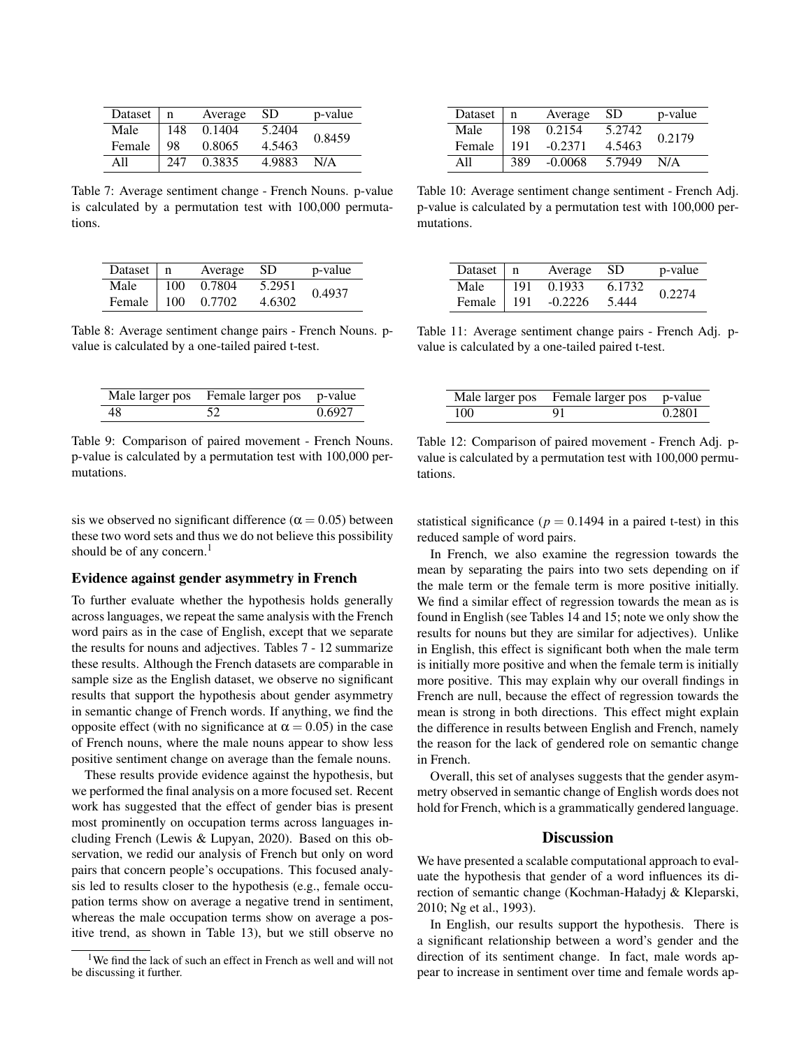| Dataset | $\mathbf n$ | Average | <b>SD</b> | p-value |
|---------|-------------|---------|-----------|---------|
| Male    | 148         | 0.1404  | 5.2404    | 0.8459  |
| Female  | 98          | 0.8065  | 4.5463    |         |
| A11     | 247         | 0.3835  | 4.9883    | N/A     |

Table 7: Average sentiment change - French Nouns. p-value is calculated by a permutation test with 100,000 permutations.

| Dataset   n  |     | Average SD |        | p-value |
|--------------|-----|------------|--------|---------|
| Male         | 100 | 0.7804     | 5.2951 | 0.4937  |
| Female   100 |     | 0.7702     | 4.6302 |         |

Table 8: Average sentiment change pairs - French Nouns. pvalue is calculated by a one-tailed paired t-test.

| Male larger pos | Female larger pos | p-value |
|-----------------|-------------------|---------|
| -48             |                   | 0.6927  |

Table 9: Comparison of paired movement - French Nouns. p-value is calculated by a permutation test with 100,000 permutations.

sis we observed no significant difference ( $\alpha$  = 0.05) between these two word sets and thus we do not believe this possibility should be of any concern.<sup>1</sup>

#### Evidence against gender asymmetry in French

To further evaluate whether the hypothesis holds generally across languages, we repeat the same analysis with the French word pairs as in the case of English, except that we separate the results for nouns and adjectives. Tables 7 - 12 summarize these results. Although the French datasets are comparable in sample size as the English dataset, we observe no significant results that support the hypothesis about gender asymmetry in semantic change of French words. If anything, we find the opposite effect (with no significance at  $\alpha = 0.05$ ) in the case of French nouns, where the male nouns appear to show less positive sentiment change on average than the female nouns.

These results provide evidence against the hypothesis, but we performed the final analysis on a more focused set. Recent work has suggested that the effect of gender bias is present most prominently on occupation terms across languages including French (Lewis & Lupyan, 2020). Based on this observation, we redid our analysis of French but only on word pairs that concern people's occupations. This focused analysis led to results closer to the hypothesis (e.g., female occupation terms show on average a negative trend in sentiment, whereas the male occupation terms show on average a positive trend, as shown in Table 13), but we still observe no

| Dataset | n   | Average   | <b>SD</b> | p-value |
|---------|-----|-----------|-----------|---------|
| Male    | 198 | 0.2154    | 5.2742    | 0.2179  |
| Female  | 191 | $-0.2371$ | 4.5463    |         |
| A11     | 389 | $-0.0068$ | 5.7949    | N/A     |

Table 10: Average sentiment change sentiment - French Adj. p-value is calculated by a permutation test with 100,000 permutations.

| Dataset $\mid$ n |     | Average SD           |        | p-value |
|------------------|-----|----------------------|--------|---------|
| Male             | 191 | 0.1933               | 6.1732 | 0.2274  |
|                  |     | Female   191 -0.2226 | 5.444  |         |

Table 11: Average sentiment change pairs - French Adj. pvalue is calculated by a one-tailed paired t-test.

| Male larger pos | Female larger pos p-value |        |
|-----------------|---------------------------|--------|
| 100             | 91                        | 0.2801 |

Table 12: Comparison of paired movement - French Adj. pvalue is calculated by a permutation test with 100,000 permutations.

statistical significance ( $p = 0.1494$  in a paired t-test) in this reduced sample of word pairs.

In French, we also examine the regression towards the mean by separating the pairs into two sets depending on if the male term or the female term is more positive initially. We find a similar effect of regression towards the mean as is found in English (see Tables 14 and 15; note we only show the results for nouns but they are similar for adjectives). Unlike in English, this effect is significant both when the male term is initially more positive and when the female term is initially more positive. This may explain why our overall findings in French are null, because the effect of regression towards the mean is strong in both directions. This effect might explain the difference in results between English and French, namely the reason for the lack of gendered role on semantic change in French.

Overall, this set of analyses suggests that the gender asymmetry observed in semantic change of English words does not hold for French, which is a grammatically gendered language.

#### **Discussion**

We have presented a scalable computational approach to evaluate the hypothesis that gender of a word influences its direction of semantic change (Kochman-Haładyj & Kleparski, 2010; Ng et al., 1993).

In English, our results support the hypothesis. There is a significant relationship between a word's gender and the direction of its sentiment change. In fact, male words appear to increase in sentiment over time and female words ap-

<sup>&</sup>lt;sup>1</sup>We find the lack of such an effect in French as well and will not be discussing it further.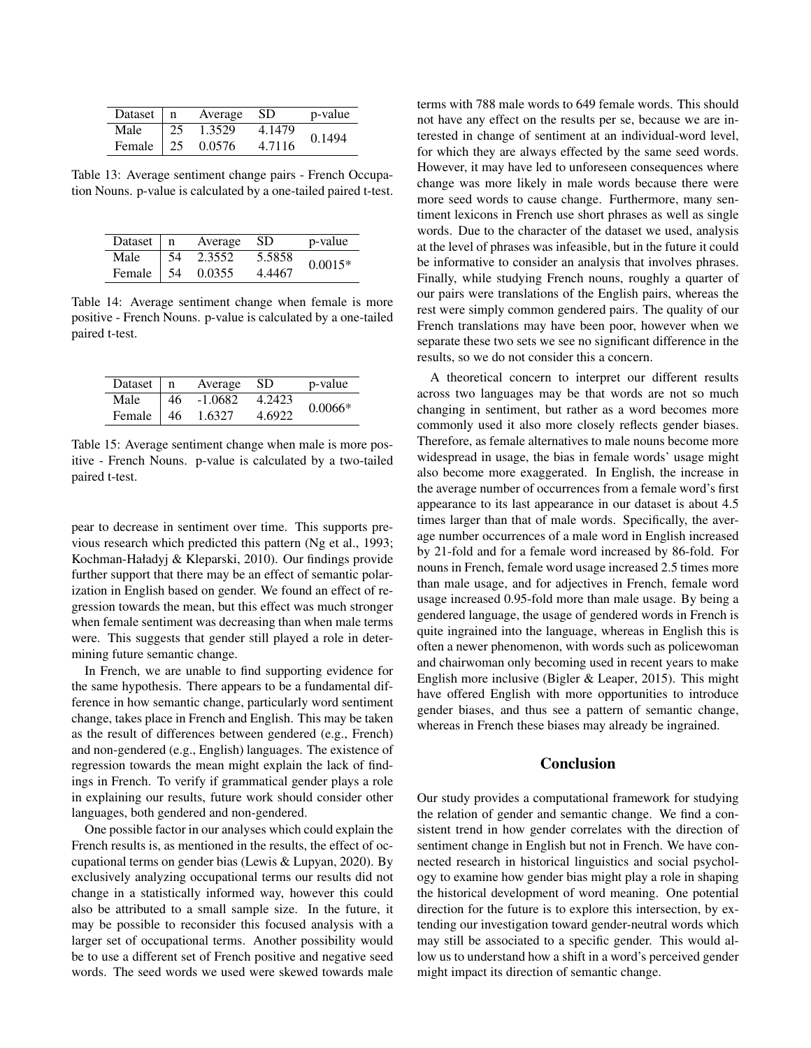| Dataset $\mid$ n  |             | Average SD |        | p-value |
|-------------------|-------------|------------|--------|---------|
| Male              | $\sqrt{25}$ | 1.3529     | 4.1479 | 0.1494  |
| Female $\vert$ 25 |             | 0.0576     | 4.7116 |         |

Table 13: Average sentiment change pairs - French Occupation Nouns. p-value is calculated by a one-tailed paired t-test.

| Dataset   n       |            | Average SD |        | p-value   |
|-------------------|------------|------------|--------|-----------|
| Male              | $\vert$ 54 | 2.3552     | 5.5858 | $0.0015*$ |
| Female $\vert$ 54 |            | 0.0355     | 4.4467 |           |

Table 14: Average sentiment change when female is more positive - French Nouns. p-value is calculated by a one-tailed paired t-test.

| Dataset $\mid$ n  |                  | Average SD |        | p-value   |
|-------------------|------------------|------------|--------|-----------|
| Male              | $\vert 46 \vert$ | $-1.0682$  | 4.2423 | $0.0066*$ |
| Female $\vert$ 46 |                  | 1.6327     | 4.6922 |           |

Table 15: Average sentiment change when male is more positive - French Nouns. p-value is calculated by a two-tailed paired t-test.

pear to decrease in sentiment over time. This supports previous research which predicted this pattern (Ng et al., 1993; Kochman-Haładyj & Kleparski, 2010). Our findings provide further support that there may be an effect of semantic polarization in English based on gender. We found an effect of regression towards the mean, but this effect was much stronger when female sentiment was decreasing than when male terms were. This suggests that gender still played a role in determining future semantic change.

In French, we are unable to find supporting evidence for the same hypothesis. There appears to be a fundamental difference in how semantic change, particularly word sentiment change, takes place in French and English. This may be taken as the result of differences between gendered (e.g., French) and non-gendered (e.g., English) languages. The existence of regression towards the mean might explain the lack of findings in French. To verify if grammatical gender plays a role in explaining our results, future work should consider other languages, both gendered and non-gendered.

One possible factor in our analyses which could explain the French results is, as mentioned in the results, the effect of occupational terms on gender bias (Lewis & Lupyan, 2020). By exclusively analyzing occupational terms our results did not change in a statistically informed way, however this could also be attributed to a small sample size. In the future, it may be possible to reconsider this focused analysis with a larger set of occupational terms. Another possibility would be to use a different set of French positive and negative seed words. The seed words we used were skewed towards male terms with 788 male words to 649 female words. This should not have any effect on the results per se, because we are interested in change of sentiment at an individual-word level, for which they are always effected by the same seed words. However, it may have led to unforeseen consequences where change was more likely in male words because there were more seed words to cause change. Furthermore, many sentiment lexicons in French use short phrases as well as single words. Due to the character of the dataset we used, analysis at the level of phrases was infeasible, but in the future it could be informative to consider an analysis that involves phrases. Finally, while studying French nouns, roughly a quarter of our pairs were translations of the English pairs, whereas the rest were simply common gendered pairs. The quality of our French translations may have been poor, however when we separate these two sets we see no significant difference in the results, so we do not consider this a concern.

A theoretical concern to interpret our different results across two languages may be that words are not so much changing in sentiment, but rather as a word becomes more commonly used it also more closely reflects gender biases. Therefore, as female alternatives to male nouns become more widespread in usage, the bias in female words' usage might also become more exaggerated. In English, the increase in the average number of occurrences from a female word's first appearance to its last appearance in our dataset is about 4.5 times larger than that of male words. Specifically, the average number occurrences of a male word in English increased by 21-fold and for a female word increased by 86-fold. For nouns in French, female word usage increased 2.5 times more than male usage, and for adjectives in French, female word usage increased 0.95-fold more than male usage. By being a gendered language, the usage of gendered words in French is quite ingrained into the language, whereas in English this is often a newer phenomenon, with words such as policewoman and chairwoman only becoming used in recent years to make English more inclusive (Bigler & Leaper, 2015). This might have offered English with more opportunities to introduce gender biases, and thus see a pattern of semantic change, whereas in French these biases may already be ingrained.

# **Conclusion**

Our study provides a computational framework for studying the relation of gender and semantic change. We find a consistent trend in how gender correlates with the direction of sentiment change in English but not in French. We have connected research in historical linguistics and social psychology to examine how gender bias might play a role in shaping the historical development of word meaning. One potential direction for the future is to explore this intersection, by extending our investigation toward gender-neutral words which may still be associated to a specific gender. This would allow us to understand how a shift in a word's perceived gender might impact its direction of semantic change.